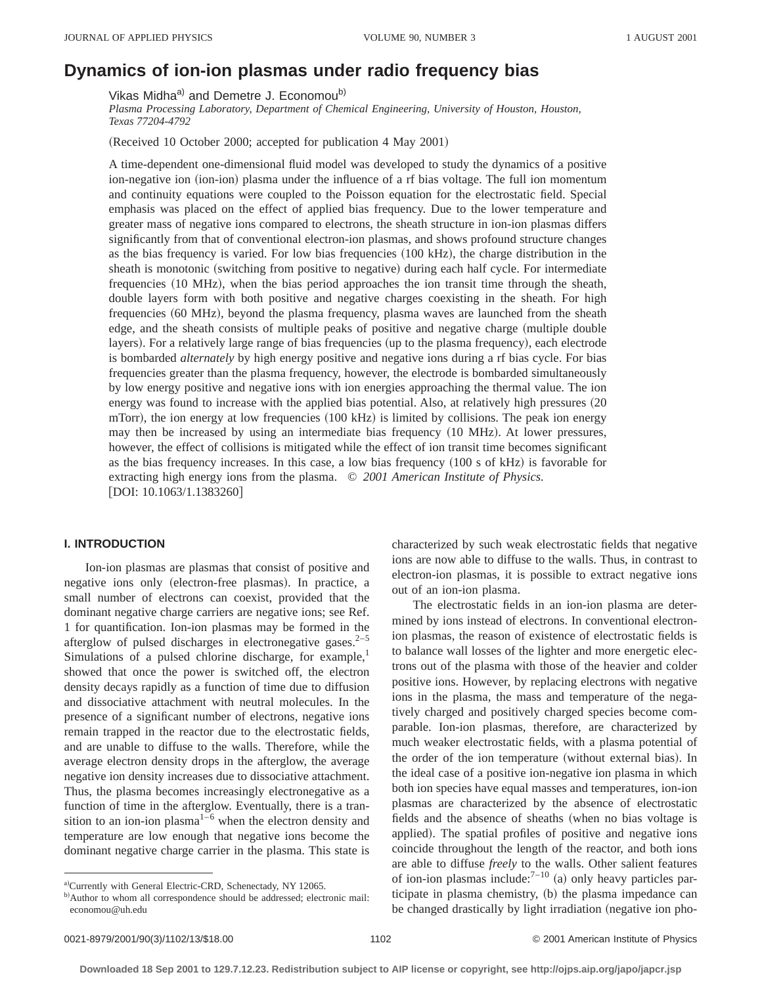# **Dynamics of ion-ion plasmas under radio frequency bias**

Vikas Midha<sup>a)</sup> and Demetre J. Economou<sup>b)</sup>

*Plasma Processing Laboratory, Department of Chemical Engineering, University of Houston, Houston, Texas 77204-4792*

(Received 10 October 2000; accepted for publication 4 May 2001)

A time-dependent one-dimensional fluid model was developed to study the dynamics of a positive ion-negative ion (ion-ion) plasma under the influence of a rf bias voltage. The full ion momentum and continuity equations were coupled to the Poisson equation for the electrostatic field. Special emphasis was placed on the effect of applied bias frequency. Due to the lower temperature and greater mass of negative ions compared to electrons, the sheath structure in ion-ion plasmas differs significantly from that of conventional electron-ion plasmas, and shows profound structure changes as the bias frequency is varied. For low bias frequencies  $(100 \text{ kHz})$ , the charge distribution in the sheath is monotonic (switching from positive to negative) during each half cycle. For intermediate frequencies (10 MHz), when the bias period approaches the ion transit time through the sheath, double layers form with both positive and negative charges coexisting in the sheath. For high frequencies (60 MHz), beyond the plasma frequency, plasma waves are launched from the sheath edge, and the sheath consists of multiple peaks of positive and negative charge (multiple double layers). For a relatively large range of bias frequencies (up to the plasma frequency), each electrode is bombarded *alternately* by high energy positive and negative ions during a rf bias cycle. For bias frequencies greater than the plasma frequency, however, the electrode is bombarded simultaneously by low energy positive and negative ions with ion energies approaching the thermal value. The ion energy was found to increase with the applied bias potential. Also, at relatively high pressures (20 mTorr), the ion energy at low frequencies  $(100 \text{ kHz})$  is limited by collisions. The peak ion energy may then be increased by using an intermediate bias frequency  $(10 \text{ MHz})$ . At lower pressures, however, the effect of collisions is mitigated while the effect of ion transit time becomes significant as the bias frequency increases. In this case, a low bias frequency  $(100 \text{ s of kHz})$  is favorable for extracting high energy ions from the plasma. © *2001 American Institute of Physics.*  $[DOI: 10.1063/1.1383260]$ 

## **I. INTRODUCTION**

Ion-ion plasmas are plasmas that consist of positive and negative ions only (electron-free plasmas). In practice, a small number of electrons can coexist, provided that the dominant negative charge carriers are negative ions; see Ref. 1 for quantification. Ion-ion plasmas may be formed in the afterglow of pulsed discharges in electronegative gases. $2-5$ Simulations of a pulsed chlorine discharge, for example,<sup>1</sup> showed that once the power is switched off, the electron density decays rapidly as a function of time due to diffusion and dissociative attachment with neutral molecules. In the presence of a significant number of electrons, negative ions remain trapped in the reactor due to the electrostatic fields, and are unable to diffuse to the walls. Therefore, while the average electron density drops in the afterglow, the average negative ion density increases due to dissociative attachment. Thus, the plasma becomes increasingly electronegative as a function of time in the afterglow. Eventually, there is a transition to an ion-ion plasma<sup>1-6</sup> when the electron density and temperature are low enough that negative ions become the dominant negative charge carrier in the plasma. This state is

characterized by such weak electrostatic fields that negative ions are now able to diffuse to the walls. Thus, in contrast to electron-ion plasmas, it is possible to extract negative ions out of an ion-ion plasma.

The electrostatic fields in an ion-ion plasma are determined by ions instead of electrons. In conventional electronion plasmas, the reason of existence of electrostatic fields is to balance wall losses of the lighter and more energetic electrons out of the plasma with those of the heavier and colder positive ions. However, by replacing electrons with negative ions in the plasma, the mass and temperature of the negatively charged and positively charged species become comparable. Ion-ion plasmas, therefore, are characterized by much weaker electrostatic fields, with a plasma potential of the order of the ion temperature (without external bias). In the ideal case of a positive ion-negative ion plasma in which both ion species have equal masses and temperatures, ion-ion plasmas are characterized by the absence of electrostatic fields and the absence of sheaths (when no bias voltage is applied). The spatial profiles of positive and negative ions coincide throughout the length of the reactor, and both ions are able to diffuse *freely* to the walls. Other salient features of ion-ion plasmas include: $7-10$  (a) only heavy particles participate in plasma chemistry, (b) the plasma impedance can be changed drastically by light irradiation (negative ion pho-

a)Currently with General Electric-CRD, Schenectady, NY 12065.

b)Author to whom all correspondence should be addressed; electronic mail: economou@uh.edu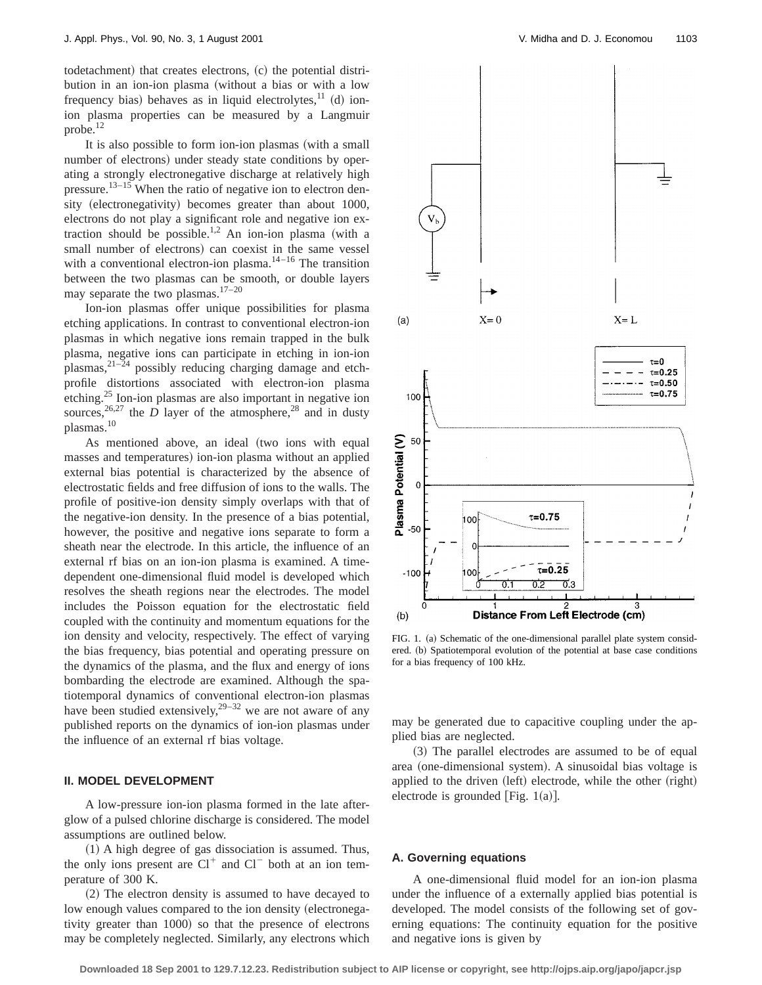todetachment) that creates electrons,  $(c)$  the potential distribution in an ion-ion plasma (without a bias or with a low frequency bias) behaves as in liquid electrolytes, $^{11}$  (d) ionion plasma properties can be measured by a Langmuir probe.<sup>12</sup>

It is also possible to form ion-ion plasmas (with a small number of electrons) under steady state conditions by operating a strongly electronegative discharge at relatively high pressure.<sup>13–15</sup> When the ratio of negative ion to electron density (electronegativity) becomes greater than about 1000, electrons do not play a significant role and negative ion extraction should be possible.<sup>1,2</sup> An ion-ion plasma (with a small number of electrons) can coexist in the same vessel with a conventional electron-ion plasma. $14-16$  The transition between the two plasmas can be smooth, or double layers may separate the two plasmas.17–20

Ion-ion plasmas offer unique possibilities for plasma etching applications. In contrast to conventional electron-ion plasmas in which negative ions remain trapped in the bulk plasma, negative ions can participate in etching in ion-ion plasmas, $2^{1-24}$  possibly reducing charging damage and etchprofile distortions associated with electron-ion plasma etching.<sup>25</sup> Ion-ion plasmas are also important in negative ion sources,<sup>26,27</sup> the *D* layer of the atmosphere,<sup>28</sup> and in dusty plasmas.10

As mentioned above, an ideal (two ions with equal masses and temperatures) ion-ion plasma without an applied external bias potential is characterized by the absence of electrostatic fields and free diffusion of ions to the walls. The profile of positive-ion density simply overlaps with that of the negative-ion density. In the presence of a bias potential, however, the positive and negative ions separate to form a sheath near the electrode. In this article, the influence of an external rf bias on an ion-ion plasma is examined. A timedependent one-dimensional fluid model is developed which resolves the sheath regions near the electrodes. The model includes the Poisson equation for the electrostatic field coupled with the continuity and momentum equations for the ion density and velocity, respectively. The effect of varying the bias frequency, bias potential and operating pressure on the dynamics of the plasma, and the flux and energy of ions bombarding the electrode are examined. Although the spatiotemporal dynamics of conventional electron-ion plasmas have been studied extensively,  $29-32$  we are not aware of any published reports on the dynamics of ion-ion plasmas under the influence of an external rf bias voltage.

#### **II. MODEL DEVELOPMENT**

A low-pressure ion-ion plasma formed in the late afterglow of a pulsed chlorine discharge is considered. The model assumptions are outlined below.

 $(1)$  A high degree of gas dissociation is assumed. Thus, the only ions present are  $Cl^+$  and  $Cl^-$  both at an ion temperature of 300 K.

(2) The electron density is assumed to have decayed to low enough values compared to the ion density (electronegativity greater than 1000) so that the presence of electrons may be completely neglected. Similarly, any electrons which



FIG. 1. (a) Schematic of the one-dimensional parallel plate system considered. (b) Spatiotemporal evolution of the potential at base case conditions for a bias frequency of 100 kHz.

may be generated due to capacitive coupling under the applied bias are neglected.

~3! The parallel electrodes are assumed to be of equal area (one-dimensional system). A sinusoidal bias voltage is applied to the driven (left) electrode, while the other (right) electrode is grounded [Fig.  $1(a)$ ].

#### **A. Governing equations**

A one-dimensional fluid model for an ion-ion plasma under the influence of a externally applied bias potential is developed. The model consists of the following set of governing equations: The continuity equation for the positive and negative ions is given by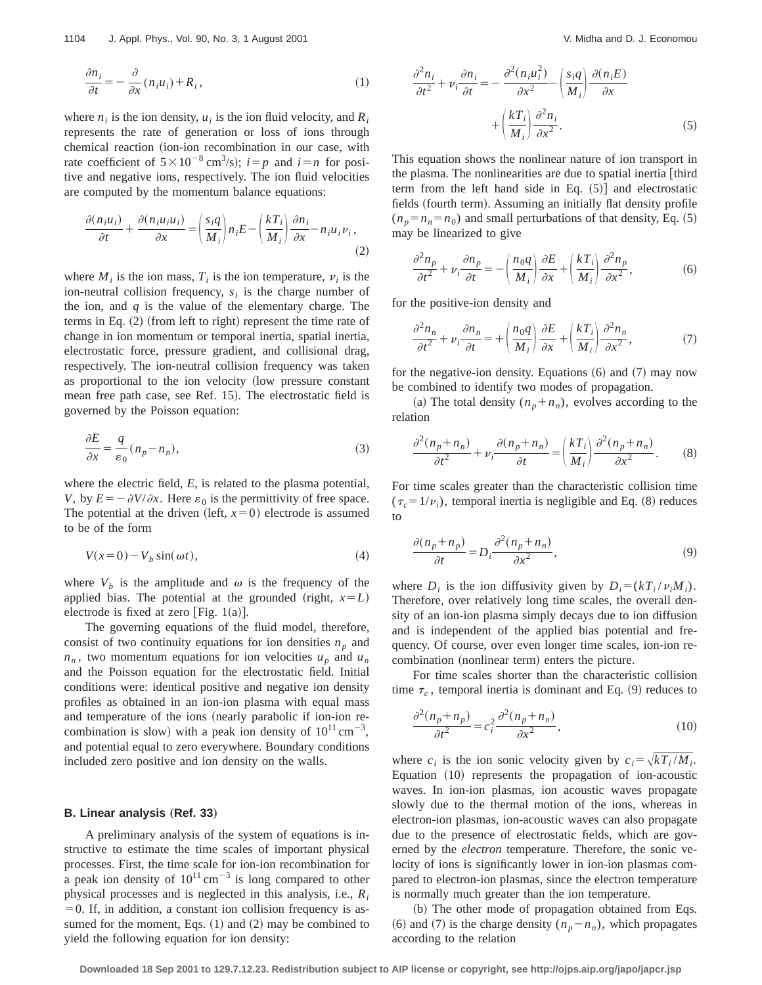$$
\frac{\partial n_i}{\partial t} = -\frac{\partial}{\partial x}(n_i u_i) + R_i, \qquad (1)
$$

where  $n_i$  is the ion density,  $u_i$  is the ion fluid velocity, and  $R_i$ represents the rate of generation or loss of ions through chemical reaction (ion-ion recombination in our case, with rate coefficient of  $5 \times 10^{-8}$  cm<sup>3</sup>/s);  $i=p$  and  $i=n$  for positive and negative ions, respectively. The ion fluid velocities are computed by the momentum balance equations:

$$
\frac{\partial (n_i u_i)}{\partial t} + \frac{\partial (n_i u_i u_i)}{\partial x} = \left(\frac{s_i q}{M_i}\right) n_i E - \left(\frac{k T_i}{M_i}\right) \frac{\partial n_i}{\partial x} - n_i u_i \nu_i,
$$
\n(2)

where  $M_i$  is the ion mass,  $T_i$  is the ion temperature,  $v_i$  is the ion-neutral collision frequency,  $s_i$  is the charge number of the ion, and *q* is the value of the elementary charge. The terms in Eq.  $(2)$  (from left to right) represent the time rate of change in ion momentum or temporal inertia, spatial inertia, electrostatic force, pressure gradient, and collisional drag, respectively. The ion-neutral collision frequency was taken as proportional to the ion velocity (low pressure constant mean free path case, see Ref. 15). The electrostatic field is governed by the Poisson equation:

$$
\frac{\partial E}{\partial x} = \frac{q}{\varepsilon_0} (n_p - n_n),\tag{3}
$$

where the electric field, *E*, is related to the plasma potential, *V*, by  $E = -\partial V/\partial x$ . Here  $\varepsilon_0$  is the permittivity of free space. The potential at the driven (left,  $x=0$ ) electrode is assumed to be of the form

$$
V(x=0) - V_b \sin(\omega t), \tag{4}
$$

where  $V_b$  is the amplitude and  $\omega$  is the frequency of the applied bias. The potential at the grounded (right,  $x=L$ ) electrode is fixed at zero [Fig.  $1(a)$ ].

The governing equations of the fluid model, therefore, consist of two continuity equations for ion densities  $n_p$  and  $n_n$ , two momentum equations for ion velocities  $u_n$  and  $u_n$ and the Poisson equation for the electrostatic field. Initial conditions were: identical positive and negative ion density profiles as obtained in an ion-ion plasma with equal mass and temperature of the ions (nearly parabolic if ion-ion recombination is slow) with a peak ion density of  $10^{11} \text{ cm}^{-3}$ , and potential equal to zero everywhere. Boundary conditions included zero positive and ion density on the walls.

#### **B. Linear analysis (Ref. 33)**

A preliminary analysis of the system of equations is instructive to estimate the time scales of important physical processes. First, the time scale for ion-ion recombination for a peak ion density of  $10^{11}$  cm<sup>-3</sup> is long compared to other physical processes and is neglected in this analysis, i.e., *Ri*  $=0$ . If, in addition, a constant ion collision frequency is assumed for the moment, Eqs.  $(1)$  and  $(2)$  may be combined to yield the following equation for ion density:

$$
\frac{\partial^2 n_i}{\partial t^2} + \nu_i \frac{\partial n_i}{\partial t} = -\frac{\partial^2 (n_i u_i^2)}{\partial x^2} - \left(\frac{s_i q}{M_i}\right) \frac{\partial (n_i E)}{\partial x} + \left(\frac{k_i T_i}{M_i}\right) \frac{\partial^2 n_i}{\partial x^2}.
$$
\n(5)

This equation shows the nonlinear nature of ion transport in the plasma. The nonlinearities are due to spatial inertia  $\vert$  third term from the left hand side in Eq.  $(5)$  and electrostatic fields (fourth term). Assuming an initially flat density profile  $(n_p=n_n=n_0)$  and small perturbations of that density, Eq.  $(5)$ may be linearized to give

$$
\frac{\partial^2 n_p}{\partial t^2} + \nu_i \frac{\partial n_p}{\partial t} = -\left(\frac{n_0 q}{M_i}\right) \frac{\partial E}{\partial x} + \left(\frac{kT_i}{M_i}\right) \frac{\partial^2 n_p}{\partial x^2},\tag{6}
$$

for the positive-ion density and

$$
\frac{\partial^2 n_n}{\partial t^2} + \nu_i \frac{\partial n_n}{\partial t} = + \left(\frac{n_0 q}{M_i}\right) \frac{\partial E}{\partial x} + \left(\frac{kT_i}{M_i}\right) \frac{\partial^2 n_n}{\partial x^2},\tag{7}
$$

for the negative-ion density. Equations  $(6)$  and  $(7)$  may now be combined to identify two modes of propagation.

(a) The total density  $(n_p+n_n)$ , evolves according to the relation

$$
\frac{\partial^2 (n_p + n_n)}{\partial t^2} + \nu_i \frac{\partial (n_p + n_n)}{\partial t} = \left(\frac{kT_i}{M_i}\right) \frac{\partial^2 (n_p + n_n)}{\partial x^2}.
$$
 (8)

For time scales greater than the characteristic collision time  $(\tau_c=1/\nu_i)$ , temporal inertia is negligible and Eq. (8) reduces to

$$
\frac{\partial (n_p + n_p)}{\partial t} = D_i \frac{\partial^2 (n_p + n_n)}{\partial x^2},\tag{9}
$$

where  $D_i$  is the ion diffusivity given by  $D_i = (kT_i / v_i M_i)$ . Therefore, over relatively long time scales, the overall density of an ion-ion plasma simply decays due to ion diffusion and is independent of the applied bias potential and frequency. Of course, over even longer time scales, ion-ion recombination (nonlinear term) enters the picture.

For time scales shorter than the characteristic collision time  $\tau_c$ , temporal inertia is dominant and Eq. (9) reduces to

$$
\frac{\partial^2 (n_p + n_p)}{\partial t^2} = c_i^2 \frac{\partial^2 (n_p + n_n)}{\partial x^2},\tag{10}
$$

where  $c_i$  is the ion sonic velocity given by  $c_i = \sqrt{kT_i / M_i}$ . Equation  $(10)$  represents the propagation of ion-acoustic waves. In ion-ion plasmas, ion acoustic waves propagate slowly due to the thermal motion of the ions, whereas in electron-ion plasmas, ion-acoustic waves can also propagate due to the presence of electrostatic fields, which are governed by the *electron* temperature. Therefore, the sonic velocity of ions is significantly lower in ion-ion plasmas compared to electron-ion plasmas, since the electron temperature is normally much greater than the ion temperature.

(b) The other mode of propagation obtained from Eqs. (6) and (7) is the charge density  $(n_p - n_n)$ , which propagates according to the relation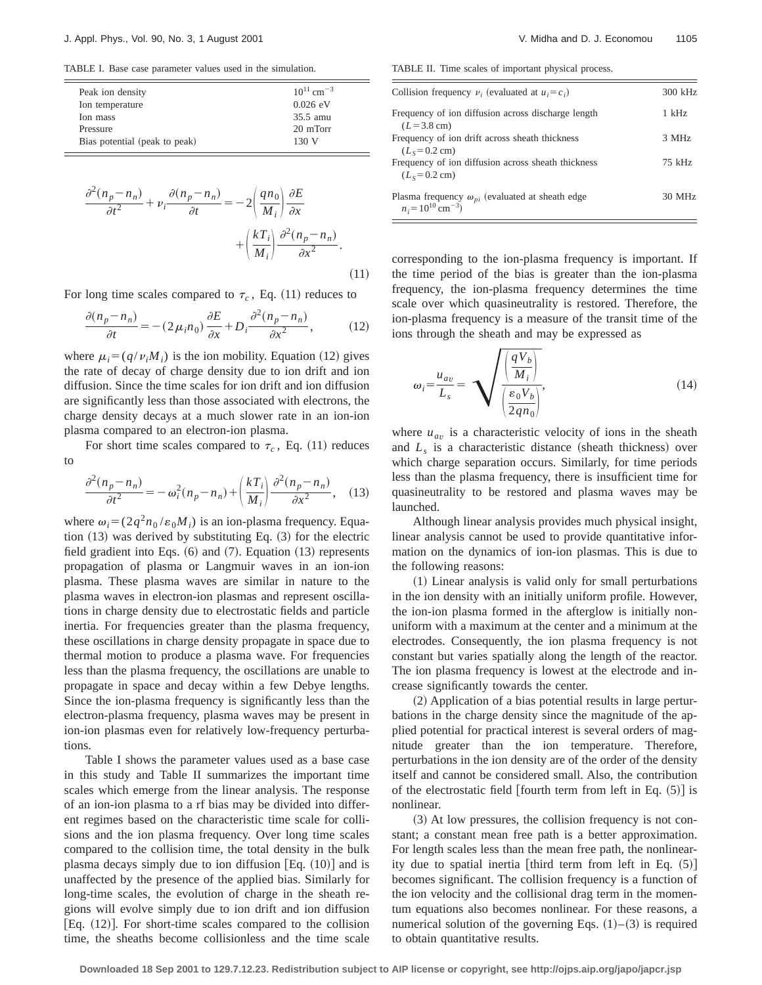TABLE I. Base case parameter values used in the simulation.

| $10^{11}$ cm <sup>-3</sup> |
|----------------------------|
| $0.026$ eV                 |
| $35.5$ amu                 |
| 20 mTorr                   |
| 130V                       |
|                            |

$$
\frac{\partial^2 (n_p - n_n)}{\partial t^2} + \nu_i \frac{\partial (n_p - n_n)}{\partial t} = -2 \left( \frac{qn_0}{M_i} \right) \frac{\partial E}{\partial x} \n+ \left( \frac{kT_i}{M_i} \right) \frac{\partial^2 (n_p - n_n)}{\partial x^2}.
$$
\n(11)

For long time scales compared to  $\tau_c$ , Eq. (11) reduces to

$$
\frac{\partial(n_p - n_n)}{\partial t} = -(2\mu_i n_0) \frac{\partial E}{\partial x} + D_i \frac{\partial^2(n_p - n_n)}{\partial x^2},\tag{12}
$$

where  $\mu_i = (q/v_iM_i)$  is the ion mobility. Equation (12) gives the rate of decay of charge density due to ion drift and ion diffusion. Since the time scales for ion drift and ion diffusion are significantly less than those associated with electrons, the charge density decays at a much slower rate in an ion-ion plasma compared to an electron-ion plasma.

For short time scales compared to  $\tau_c$ , Eq. (11) reduces to

$$
\frac{\partial^2 (n_p - n_n)}{\partial t^2} = -\omega_i^2 (n_p - n_n) + \left(\frac{kT_i}{M_i}\right) \frac{\partial^2 (n_p - n_n)}{\partial x^2}, \quad (13)
$$

where  $\omega_i = (2q^2 n_0 / \varepsilon_0 M_i)$  is an ion-plasma frequency. Equation  $(13)$  was derived by substituting Eq.  $(3)$  for the electric field gradient into Eqs.  $(6)$  and  $(7)$ . Equation  $(13)$  represents propagation of plasma or Langmuir waves in an ion-ion plasma. These plasma waves are similar in nature to the plasma waves in electron-ion plasmas and represent oscillations in charge density due to electrostatic fields and particle inertia. For frequencies greater than the plasma frequency, these oscillations in charge density propagate in space due to thermal motion to produce a plasma wave. For frequencies less than the plasma frequency, the oscillations are unable to propagate in space and decay within a few Debye lengths. Since the ion-plasma frequency is significantly less than the electron-plasma frequency, plasma waves may be present in ion-ion plasmas even for relatively low-frequency perturbations.

Table I shows the parameter values used as a base case in this study and Table II summarizes the important time scales which emerge from the linear analysis. The response of an ion-ion plasma to a rf bias may be divided into different regimes based on the characteristic time scale for collisions and the ion plasma frequency. Over long time scales compared to the collision time, the total density in the bulk plasma decays simply due to ion diffusion  $[Eq. (10)]$  and is unaffected by the presence of the applied bias. Similarly for long-time scales, the evolution of charge in the sheath regions will evolve simply due to ion drift and ion diffusion [Eq.  $(12)$ ]. For short-time scales compared to the collision time, the sheaths become collisionless and the time scale

TABLE II. Time scales of important physical process.

| Collision frequency $\nu_i$ (evaluated at $u_i = c_i$ )                                        | 300 kHz |
|------------------------------------------------------------------------------------------------|---------|
| Frequency of ion diffusion across discharge length<br>$(L = 3.8$ cm)                           | 1 kHz   |
| Frequency of ion drift across sheath thickness<br>$(L_s = 0.2 \text{ cm})$                     | 3 MHz   |
| Frequency of ion diffusion across sheath thickness<br>$(L_s = 0.2 \text{ cm})$                 | 75 kHz  |
| Plasma frequency $\omega_{pi}$ (evaluated at sheath edge<br>$n_i = 10^{10}$ cm <sup>-3</sup> ) | 30 MHz  |

corresponding to the ion-plasma frequency is important. If the time period of the bias is greater than the ion-plasma frequency, the ion-plasma frequency determines the time scale over which quasineutrality is restored. Therefore, the ion-plasma frequency is a measure of the transit time of the ions through the sheath and may be expressed as

$$
\omega_i = \frac{u_{av}}{L_s} = \sqrt{\frac{\left(\frac{qV_b}{M_i}\right)}{\left(\frac{\varepsilon_0 V_b}{2qn_0}\right)}},\tag{14}
$$

where  $u_{av}$  is a characteristic velocity of ions in the sheath and  $L<sub>s</sub>$  is a characteristic distance (sheath thickness) over which charge separation occurs. Similarly, for time periods less than the plasma frequency, there is insufficient time for quasineutrality to be restored and plasma waves may be launched.

Although linear analysis provides much physical insight, linear analysis cannot be used to provide quantitative information on the dynamics of ion-ion plasmas. This is due to the following reasons:

 $(1)$  Linear analysis is valid only for small perturbations in the ion density with an initially uniform profile. However, the ion-ion plasma formed in the afterglow is initially nonuniform with a maximum at the center and a minimum at the electrodes. Consequently, the ion plasma frequency is not constant but varies spatially along the length of the reactor. The ion plasma frequency is lowest at the electrode and increase significantly towards the center.

 $(2)$  Application of a bias potential results in large perturbations in the charge density since the magnitude of the applied potential for practical interest is several orders of magnitude greater than the ion temperature. Therefore, perturbations in the ion density are of the order of the density itself and cannot be considered small. Also, the contribution of the electrostatic field [fourth term from left in Eq.  $(5)$ ] is nonlinear.

 $(3)$  At low pressures, the collision frequency is not constant; a constant mean free path is a better approximation. For length scales less than the mean free path, the nonlinearity due to spatial inertia [third term from left in Eq.  $(5)$ ] becomes significant. The collision frequency is a function of the ion velocity and the collisional drag term in the momentum equations also becomes nonlinear. For these reasons, a numerical solution of the governing Eqs.  $(1)$ – $(3)$  is required to obtain quantitative results.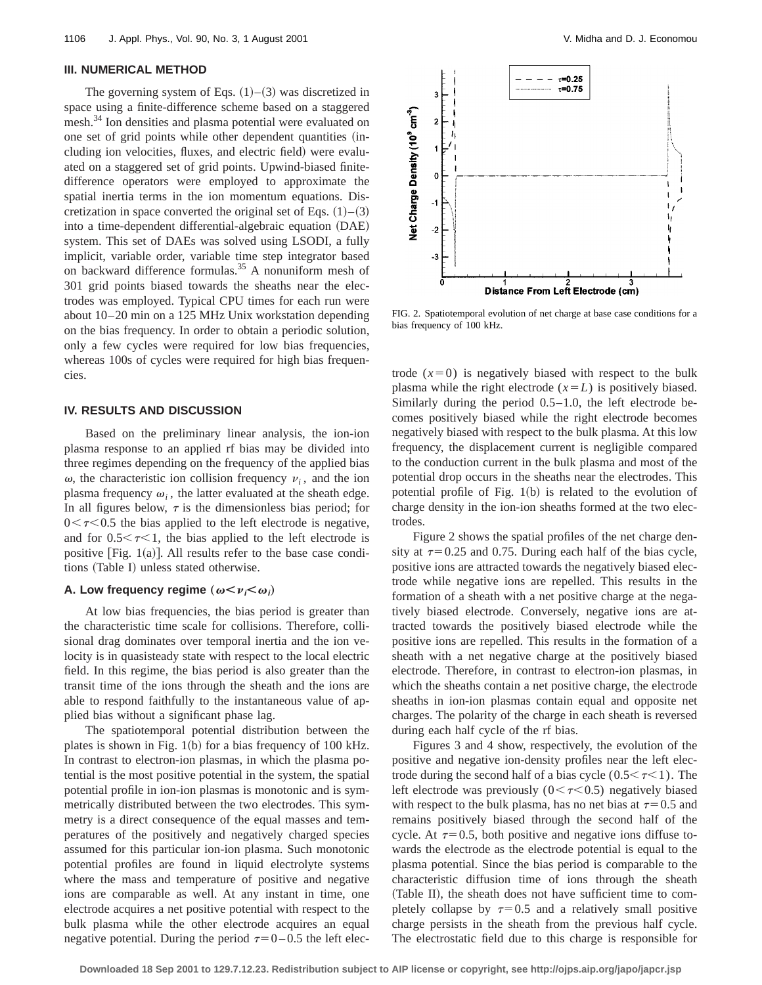#### **III. NUMERICAL METHOD**

The governing system of Eqs.  $(1)$ – $(3)$  was discretized in space using a finite-difference scheme based on a staggered mesh.<sup>34</sup> Ion densities and plasma potential were evaluated on one set of grid points while other dependent quantities (including ion velocities, fluxes, and electric field) were evaluated on a staggered set of grid points. Upwind-biased finitedifference operators were employed to approximate the spatial inertia terms in the ion momentum equations. Discretization in space converted the original set of Eqs.  $(1)$ – $(3)$ into a time-dependent differential-algebraic equation (DAE) system. This set of DAEs was solved using LSODI, a fully implicit, variable order, variable time step integrator based on backward difference formulas.<sup>35</sup> A nonuniform mesh of 301 grid points biased towards the sheaths near the electrodes was employed. Typical CPU times for each run were about 10–20 min on a 125 MHz Unix workstation depending on the bias frequency. In order to obtain a periodic solution, only a few cycles were required for low bias frequencies, whereas 100s of cycles were required for high bias frequencies.

# **IV. RESULTS AND DISCUSSION**

Based on the preliminary linear analysis, the ion-ion plasma response to an applied rf bias may be divided into three regimes depending on the frequency of the applied bias  $\omega$ , the characteristic ion collision frequency  $\nu_i$ , and the ion plasma frequency  $\omega_i$ , the latter evaluated at the sheath edge. In all figures below,  $\tau$  is the dimensionless bias period; for  $0 < \tau < 0.5$  the bias applied to the left electrode is negative, and for  $0.5<\tau<1$ , the bias applied to the left electrode is positive [Fig.  $1(a)$ ]. All results refer to the base case conditions (Table I) unless stated otherwise.

# **A.** Low frequency regime  $(\omega < \nu_i < \omega_i)$

At low bias frequencies, the bias period is greater than the characteristic time scale for collisions. Therefore, collisional drag dominates over temporal inertia and the ion velocity is in quasisteady state with respect to the local electric field. In this regime, the bias period is also greater than the transit time of the ions through the sheath and the ions are able to respond faithfully to the instantaneous value of applied bias without a significant phase lag.

The spatiotemporal potential distribution between the plates is shown in Fig.  $1(b)$  for a bias frequency of 100 kHz. In contrast to electron-ion plasmas, in which the plasma potential is the most positive potential in the system, the spatial potential profile in ion-ion plasmas is monotonic and is symmetrically distributed between the two electrodes. This symmetry is a direct consequence of the equal masses and temperatures of the positively and negatively charged species assumed for this particular ion-ion plasma. Such monotonic potential profiles are found in liquid electrolyte systems where the mass and temperature of positive and negative ions are comparable as well. At any instant in time, one electrode acquires a net positive potential with respect to the bulk plasma while the other electrode acquires an equal negative potential. During the period  $\tau=0-0.5$  the left elec-



FIG. 2. Spatiotemporal evolution of net charge at base case conditions for a bias frequency of 100 kHz.

trode  $(x=0)$  is negatively biased with respect to the bulk plasma while the right electrode  $(x=L)$  is positively biased. Similarly during the period 0.5–1.0, the left electrode becomes positively biased while the right electrode becomes negatively biased with respect to the bulk plasma. At this low frequency, the displacement current is negligible compared to the conduction current in the bulk plasma and most of the potential drop occurs in the sheaths near the electrodes. This potential profile of Fig.  $1(b)$  is related to the evolution of charge density in the ion-ion sheaths formed at the two electrodes.

Figure 2 shows the spatial profiles of the net charge density at  $\tau=0.25$  and 0.75. During each half of the bias cycle, positive ions are attracted towards the negatively biased electrode while negative ions are repelled. This results in the formation of a sheath with a net positive charge at the negatively biased electrode. Conversely, negative ions are attracted towards the positively biased electrode while the positive ions are repelled. This results in the formation of a sheath with a net negative charge at the positively biased electrode. Therefore, in contrast to electron-ion plasmas, in which the sheaths contain a net positive charge, the electrode sheaths in ion-ion plasmas contain equal and opposite net charges. The polarity of the charge in each sheath is reversed during each half cycle of the rf bias.

Figures 3 and 4 show, respectively, the evolution of the positive and negative ion-density profiles near the left electrode during the second half of a bias cycle ( $0.5<\tau<1$ ). The left electrode was previously  $(0 < \tau < 0.5)$  negatively biased with respect to the bulk plasma, has no net bias at  $\tau=0.5$  and remains positively biased through the second half of the cycle. At  $\tau=0.5$ , both positive and negative ions diffuse towards the electrode as the electrode potential is equal to the plasma potential. Since the bias period is comparable to the characteristic diffusion time of ions through the sheath (Table II), the sheath does not have sufficient time to completely collapse by  $\tau=0.5$  and a relatively small positive charge persists in the sheath from the previous half cycle. The electrostatic field due to this charge is responsible for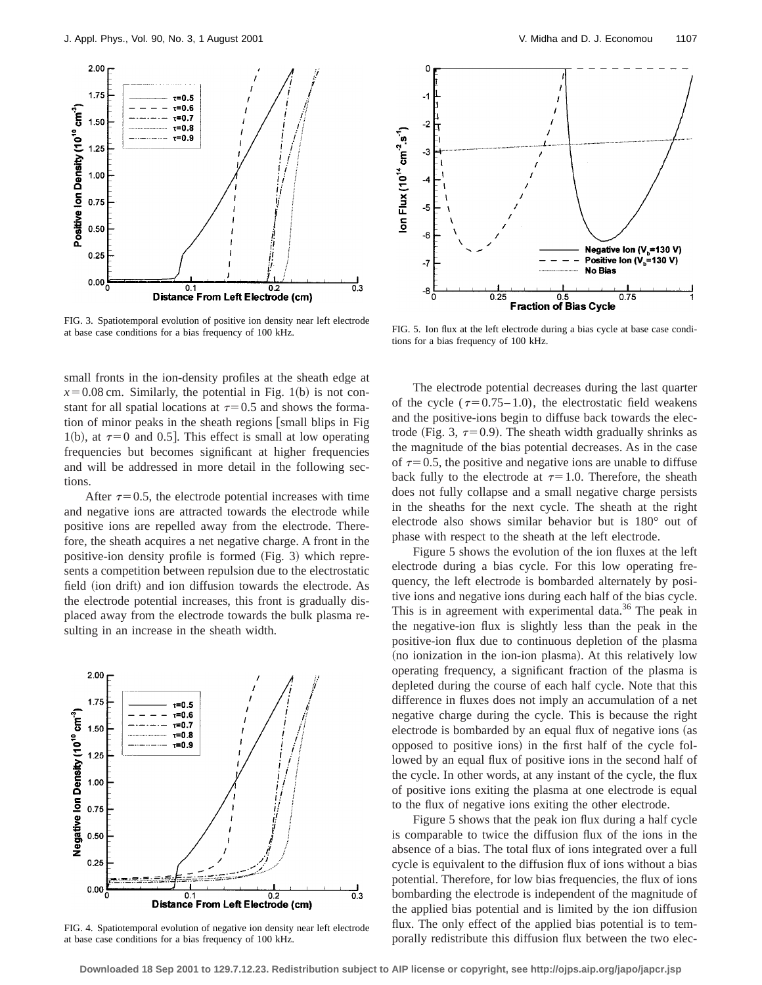

FIG. 3. Spatiotemporal evolution of positive ion density near left electrode at base case conditions for a bias frequency of 100 kHz.

small fronts in the ion-density profiles at the sheath edge at  $x=0.08$  cm. Similarly, the potential in Fig. 1(b) is not constant for all spatial locations at  $\tau=0.5$  and shows the formation of minor peaks in the sheath regions [small blips in Fig 1(b), at  $\tau=0$  and 0.5. This effect is small at low operating frequencies but becomes significant at higher frequencies and will be addressed in more detail in the following sections.

After  $\tau=0.5$ , the electrode potential increases with time and negative ions are attracted towards the electrode while positive ions are repelled away from the electrode. Therefore, the sheath acquires a net negative charge. A front in the positive-ion density profile is formed  $(Fig. 3)$  which represents a competition between repulsion due to the electrostatic field (ion drift) and ion diffusion towards the electrode. As the electrode potential increases, this front is gradually displaced away from the electrode towards the bulk plasma resulting in an increase in the sheath width.



FIG. 4. Spatiotemporal evolution of negative ion density near left electrode at base case conditions for a bias frequency of 100 kHz.



FIG. 5. Ion flux at the left electrode during a bias cycle at base case conditions for a bias frequency of 100 kHz.

The electrode potential decreases during the last quarter of the cycle ( $\tau$ =0.75–1.0), the electrostatic field weakens and the positive-ions begin to diffuse back towards the electrode (Fig. 3,  $\tau=0.9$ ). The sheath width gradually shrinks as the magnitude of the bias potential decreases. As in the case of  $\tau=0.5$ , the positive and negative ions are unable to diffuse back fully to the electrode at  $\tau=1.0$ . Therefore, the sheath does not fully collapse and a small negative charge persists in the sheaths for the next cycle. The sheath at the right electrode also shows similar behavior but is 180° out of phase with respect to the sheath at the left electrode.

Figure 5 shows the evolution of the ion fluxes at the left electrode during a bias cycle. For this low operating frequency, the left electrode is bombarded alternately by positive ions and negative ions during each half of the bias cycle. This is in agreement with experimental data.<sup>36</sup> The peak in the negative-ion flux is slightly less than the peak in the positive-ion flux due to continuous depletion of the plasma (no ionization in the ion-ion plasma). At this relatively low operating frequency, a significant fraction of the plasma is depleted during the course of each half cycle. Note that this difference in fluxes does not imply an accumulation of a net negative charge during the cycle. This is because the right electrode is bombarded by an equal flux of negative ions (as opposed to positive ions) in the first half of the cycle followed by an equal flux of positive ions in the second half of the cycle. In other words, at any instant of the cycle, the flux of positive ions exiting the plasma at one electrode is equal to the flux of negative ions exiting the other electrode.

Figure 5 shows that the peak ion flux during a half cycle is comparable to twice the diffusion flux of the ions in the absence of a bias. The total flux of ions integrated over a full cycle is equivalent to the diffusion flux of ions without a bias potential. Therefore, for low bias frequencies, the flux of ions bombarding the electrode is independent of the magnitude of the applied bias potential and is limited by the ion diffusion flux. The only effect of the applied bias potential is to temporally redistribute this diffusion flux between the two elec-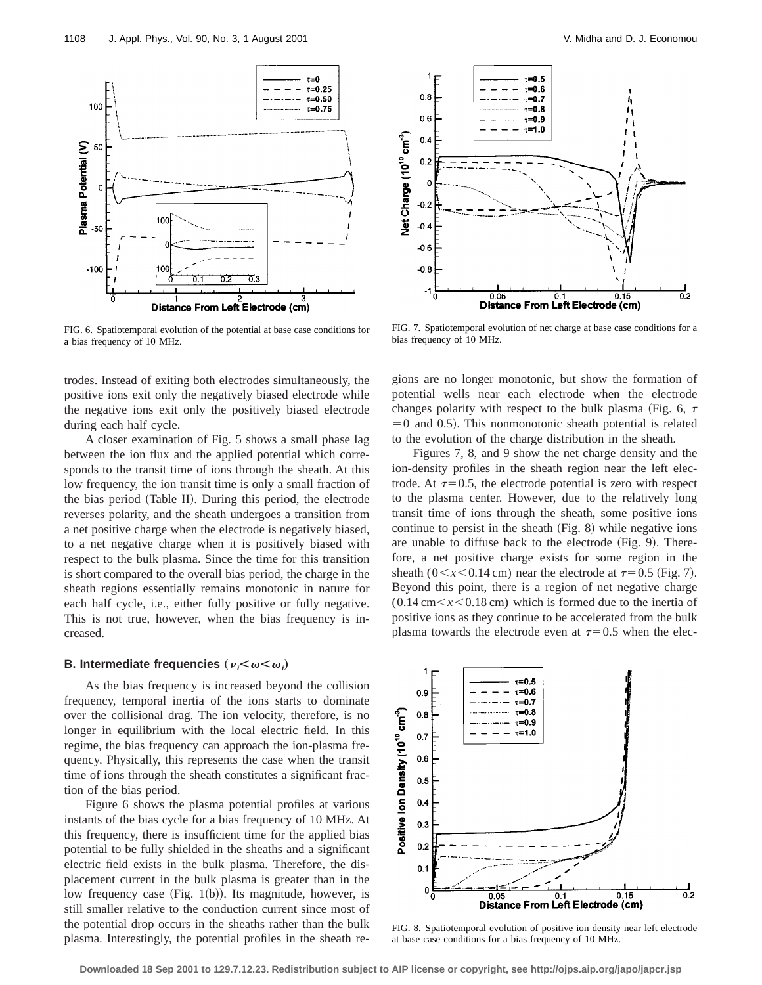

FIG. 6. Spatiotemporal evolution of the potential at base case conditions for a bias frequency of 10 MHz.

trodes. Instead of exiting both electrodes simultaneously, the positive ions exit only the negatively biased electrode while the negative ions exit only the positively biased electrode during each half cycle.

A closer examination of Fig. 5 shows a small phase lag between the ion flux and the applied potential which corresponds to the transit time of ions through the sheath. At this low frequency, the ion transit time is only a small fraction of the bias period (Table II). During this period, the electrode reverses polarity, and the sheath undergoes a transition from a net positive charge when the electrode is negatively biased, to a net negative charge when it is positively biased with respect to the bulk plasma. Since the time for this transition is short compared to the overall bias period, the charge in the sheath regions essentially remains monotonic in nature for each half cycle, i.e., either fully positive or fully negative. This is not true, however, when the bias frequency is increased.

# **B.** Intermediate frequencies  $(\nu_i \leq \omega \leq \omega_i)$

As the bias frequency is increased beyond the collision frequency, temporal inertia of the ions starts to dominate over the collisional drag. The ion velocity, therefore, is no longer in equilibrium with the local electric field. In this regime, the bias frequency can approach the ion-plasma frequency. Physically, this represents the case when the transit time of ions through the sheath constitutes a significant fraction of the bias period.

Figure 6 shows the plasma potential profiles at various instants of the bias cycle for a bias frequency of 10 MHz. At this frequency, there is insufficient time for the applied bias potential to be fully shielded in the sheaths and a significant electric field exists in the bulk plasma. Therefore, the displacement current in the bulk plasma is greater than in the low frequency case (Fig. 1(b)). Its magnitude, however, is still smaller relative to the conduction current since most of the potential drop occurs in the sheaths rather than the bulk plasma. Interestingly, the potential profiles in the sheath re-



FIG. 7. Spatiotemporal evolution of net charge at base case conditions for a bias frequency of 10 MHz.

gions are no longer monotonic, but show the formation of potential wells near each electrode when the electrode changes polarity with respect to the bulk plasma (Fig. 6,  $\tau$ )  $=0$  and 0.5). This nonmonotonic sheath potential is related to the evolution of the charge distribution in the sheath.

Figures 7, 8, and 9 show the net charge density and the ion-density profiles in the sheath region near the left electrode. At  $\tau=0.5$ , the electrode potential is zero with respect to the plasma center. However, due to the relatively long transit time of ions through the sheath, some positive ions continue to persist in the sheath  $(Fig. 8)$  while negative ions are unable to diffuse back to the electrode  $(Fig. 9)$ . Therefore, a net positive charge exists for some region in the sheath ( $0 \le x \le 0.14$  cm) near the electrode at  $\tau=0.5$  (Fig. 7). Beyond this point, there is a region of net negative charge  $(0.14 \text{ cm} < x < 0.18 \text{ cm})$  which is formed due to the inertia of positive ions as they continue to be accelerated from the bulk plasma towards the electrode even at  $\tau=0.5$  when the elec-



FIG. 8. Spatiotemporal evolution of positive ion density near left electrode at base case conditions for a bias frequency of 10 MHz.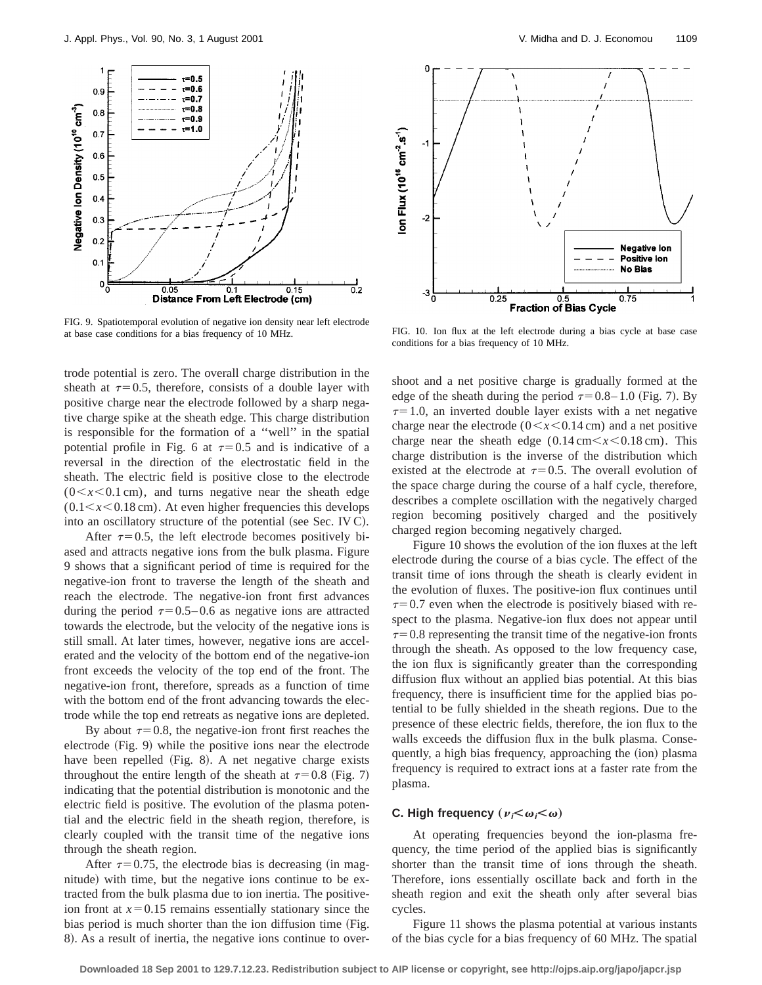

FIG. 9. Spatiotemporal evolution of negative ion density near left electrode at base case conditions for a bias frequency of 10 MHz. FIG. 10. Ion flux at the left electrode during a bias cycle at base case

trode potential is zero. The overall charge distribution in the sheath at  $\tau=0.5$ , therefore, consists of a double layer with positive charge near the electrode followed by a sharp negative charge spike at the sheath edge. This charge distribution is responsible for the formation of a ''well'' in the spatial potential profile in Fig. 6 at  $\tau=0.5$  and is indicative of a reversal in the direction of the electrostatic field in the sheath. The electric field is positive close to the electrode  $(0 \lt x \lt 0.1 \text{ cm})$ , and turns negative near the sheath edge  $(0.1 \le x \le 0.18 \text{ cm})$ . At even higher frequencies this develops into an oscillatory structure of the potential (see Sec. IV C).

After  $\tau=0.5$ , the left electrode becomes positively biased and attracts negative ions from the bulk plasma. Figure 9 shows that a significant period of time is required for the negative-ion front to traverse the length of the sheath and reach the electrode. The negative-ion front first advances during the period  $\tau=0.5-0.6$  as negative ions are attracted towards the electrode, but the velocity of the negative ions is still small. At later times, however, negative ions are accelerated and the velocity of the bottom end of the negative-ion front exceeds the velocity of the top end of the front. The negative-ion front, therefore, spreads as a function of time with the bottom end of the front advancing towards the electrode while the top end retreats as negative ions are depleted.

By about  $\tau=0.8$ , the negative-ion front first reaches the electrode  $(Fig. 9)$  while the positive ions near the electrode have been repelled  $(Fig. 8)$ . A net negative charge exists throughout the entire length of the sheath at  $\tau=0.8$  (Fig. 7) indicating that the potential distribution is monotonic and the electric field is positive. The evolution of the plasma potential and the electric field in the sheath region, therefore, is clearly coupled with the transit time of the negative ions through the sheath region.

After  $\tau=0.75$ , the electrode bias is decreasing (in magnitude) with time, but the negative ions continue to be extracted from the bulk plasma due to ion inertia. The positiveion front at  $x=0.15$  remains essentially stationary since the bias period is much shorter than the ion diffusion time (Fig. 8). As a result of inertia, the negative ions continue to over-



conditions for a bias frequency of 10 MHz.

shoot and a net positive charge is gradually formed at the edge of the sheath during the period  $\tau=0.8-1.0$  (Fig. 7). By  $\tau=1.0$ , an inverted double layer exists with a net negative charge near the electrode ( $0 \le x \le 0.14$  cm) and a net positive charge near the sheath edge  $(0.14 \text{ cm} < x < 0.18 \text{ cm})$ . This charge distribution is the inverse of the distribution which existed at the electrode at  $\tau=0.5$ . The overall evolution of the space charge during the course of a half cycle, therefore, describes a complete oscillation with the negatively charged region becoming positively charged and the positively charged region becoming negatively charged.

Figure 10 shows the evolution of the ion fluxes at the left electrode during the course of a bias cycle. The effect of the transit time of ions through the sheath is clearly evident in the evolution of fluxes. The positive-ion flux continues until  $\tau$ =0.7 even when the electrode is positively biased with respect to the plasma. Negative-ion flux does not appear until  $\tau$ =0.8 representing the transit time of the negative-ion fronts through the sheath. As opposed to the low frequency case, the ion flux is significantly greater than the corresponding diffusion flux without an applied bias potential. At this bias frequency, there is insufficient time for the applied bias potential to be fully shielded in the sheath regions. Due to the presence of these electric fields, therefore, the ion flux to the walls exceeds the diffusion flux in the bulk plasma. Consequently, a high bias frequency, approaching the (ion) plasma frequency is required to extract ions at a faster rate from the plasma.

# **C.** High frequency  $(\nu_i \leq \omega_i \leq \omega)$

At operating frequencies beyond the ion-plasma frequency, the time period of the applied bias is significantly shorter than the transit time of ions through the sheath. Therefore, ions essentially oscillate back and forth in the sheath region and exit the sheath only after several bias cycles.

Figure 11 shows the plasma potential at various instants of the bias cycle for a bias frequency of 60 MHz. The spatial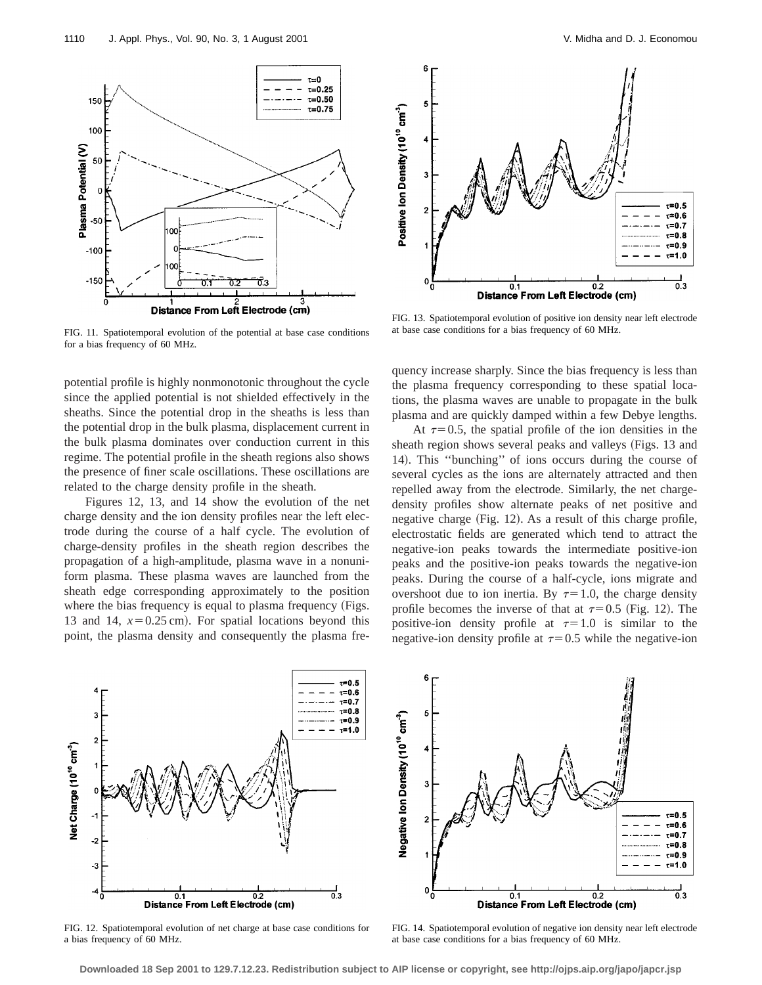

FIG. 11. Spatiotemporal evolution of the potential at base case conditions for a bias frequency of 60 MHz.

potential profile is highly nonmonotonic throughout the cycle since the applied potential is not shielded effectively in the sheaths. Since the potential drop in the sheaths is less than the potential drop in the bulk plasma, displacement current in the bulk plasma dominates over conduction current in this regime. The potential profile in the sheath regions also shows the presence of finer scale oscillations. These oscillations are related to the charge density profile in the sheath.

Figures 12, 13, and 14 show the evolution of the net charge density and the ion density profiles near the left electrode during the course of a half cycle. The evolution of charge-density profiles in the sheath region describes the propagation of a high-amplitude, plasma wave in a nonuniform plasma. These plasma waves are launched from the sheath edge corresponding approximately to the position where the bias frequency is equal to plasma frequency (Figs. 13 and 14,  $x=0.25$  cm). For spatial locations beyond this point, the plasma density and consequently the plasma fre-



FIG. 13. Spatiotemporal evolution of positive ion density near left electrode at base case conditions for a bias frequency of 60 MHz.

quency increase sharply. Since the bias frequency is less than the plasma frequency corresponding to these spatial locations, the plasma waves are unable to propagate in the bulk plasma and are quickly damped within a few Debye lengths.

At  $\tau=0.5$ , the spatial profile of the ion densities in the sheath region shows several peaks and valleys (Figs. 13 and 14). This "bunching" of ions occurs during the course of several cycles as the ions are alternately attracted and then repelled away from the electrode. Similarly, the net chargedensity profiles show alternate peaks of net positive and negative charge (Fig. 12). As a result of this charge profile, electrostatic fields are generated which tend to attract the negative-ion peaks towards the intermediate positive-ion peaks and the positive-ion peaks towards the negative-ion peaks. During the course of a half-cycle, ions migrate and overshoot due to ion inertia. By  $\tau=1.0$ , the charge density profile becomes the inverse of that at  $\tau=0.5$  (Fig. 12). The positive-ion density profile at  $\tau=1.0$  is similar to the negative-ion density profile at  $\tau=0.5$  while the negative-ion



FIG. 12. Spatiotemporal evolution of net charge at base case conditions for a bias frequency of 60 MHz.



FIG. 14. Spatiotemporal evolution of negative ion density near left electrode at base case conditions for a bias frequency of 60 MHz.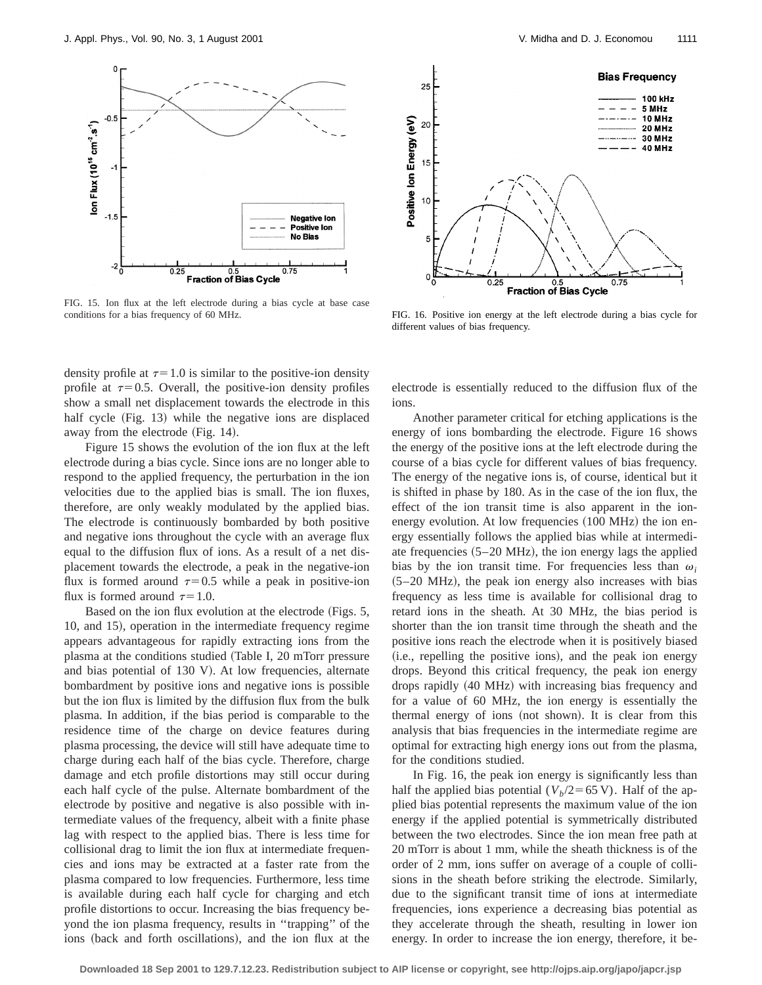

FIG. 15. Ion flux at the left electrode during a bias cycle at base case conditions for a bias frequency of 60 MHz. FIG. 16. Positive ion energy at the left electrode during a bias cycle for

density profile at  $\tau=1.0$  is similar to the positive-ion density profile at  $\tau=0.5$ . Overall, the positive-ion density profiles show a small net displacement towards the electrode in this half cycle (Fig. 13) while the negative ions are displaced away from the electrode (Fig. 14).

Figure 15 shows the evolution of the ion flux at the left electrode during a bias cycle. Since ions are no longer able to respond to the applied frequency, the perturbation in the ion velocities due to the applied bias is small. The ion fluxes, therefore, are only weakly modulated by the applied bias. The electrode is continuously bombarded by both positive and negative ions throughout the cycle with an average flux equal to the diffusion flux of ions. As a result of a net displacement towards the electrode, a peak in the negative-ion flux is formed around  $\tau=0.5$  while a peak in positive-ion flux is formed around  $\tau=1.0$ .

Based on the ion flux evolution at the electrode (Figs. 5, 10, and 15), operation in the intermediate frequency regime appears advantageous for rapidly extracting ions from the plasma at the conditions studied (Table I, 20 mTorr pressure and bias potential of  $130$  V). At low frequencies, alternate bombardment by positive ions and negative ions is possible but the ion flux is limited by the diffusion flux from the bulk plasma. In addition, if the bias period is comparable to the residence time of the charge on device features during plasma processing, the device will still have adequate time to charge during each half of the bias cycle. Therefore, charge damage and etch profile distortions may still occur during each half cycle of the pulse. Alternate bombardment of the electrode by positive and negative is also possible with intermediate values of the frequency, albeit with a finite phase lag with respect to the applied bias. There is less time for collisional drag to limit the ion flux at intermediate frequencies and ions may be extracted at a faster rate from the plasma compared to low frequencies. Furthermore, less time is available during each half cycle for charging and etch profile distortions to occur. Increasing the bias frequency beyond the ion plasma frequency, results in ''trapping'' of the ions (back and forth oscillations), and the ion flux at the



different values of bias frequency.

electrode is essentially reduced to the diffusion flux of the ions.

Another parameter critical for etching applications is the energy of ions bombarding the electrode. Figure 16 shows the energy of the positive ions at the left electrode during the course of a bias cycle for different values of bias frequency. The energy of the negative ions is, of course, identical but it is shifted in phase by 180. As in the case of the ion flux, the effect of the ion transit time is also apparent in the ionenergy evolution. At low frequencies (100 MHz) the ion energy essentially follows the applied bias while at intermediate frequencies  $(5-20 \text{ MHz})$ , the ion energy lags the applied bias by the ion transit time. For frequencies less than  $\omega_i$  $(5-20 \text{ MHz})$ , the peak ion energy also increases with bias frequency as less time is available for collisional drag to retard ions in the sheath. At 30 MHz, the bias period is shorter than the ion transit time through the sheath and the positive ions reach the electrode when it is positively biased (i.e., repelling the positive ions), and the peak ion energy drops. Beyond this critical frequency, the peak ion energy drops rapidly (40 MHz) with increasing bias frequency and for a value of 60 MHz, the ion energy is essentially the thermal energy of ions (not shown). It is clear from this analysis that bias frequencies in the intermediate regime are optimal for extracting high energy ions out from the plasma, for the conditions studied.

In Fig. 16, the peak ion energy is significantly less than half the applied bias potential  $(V_b/2=65 \text{ V})$ . Half of the applied bias potential represents the maximum value of the ion energy if the applied potential is symmetrically distributed between the two electrodes. Since the ion mean free path at 20 mTorr is about 1 mm, while the sheath thickness is of the order of 2 mm, ions suffer on average of a couple of collisions in the sheath before striking the electrode. Similarly, due to the significant transit time of ions at intermediate frequencies, ions experience a decreasing bias potential as they accelerate through the sheath, resulting in lower ion energy. In order to increase the ion energy, therefore, it be-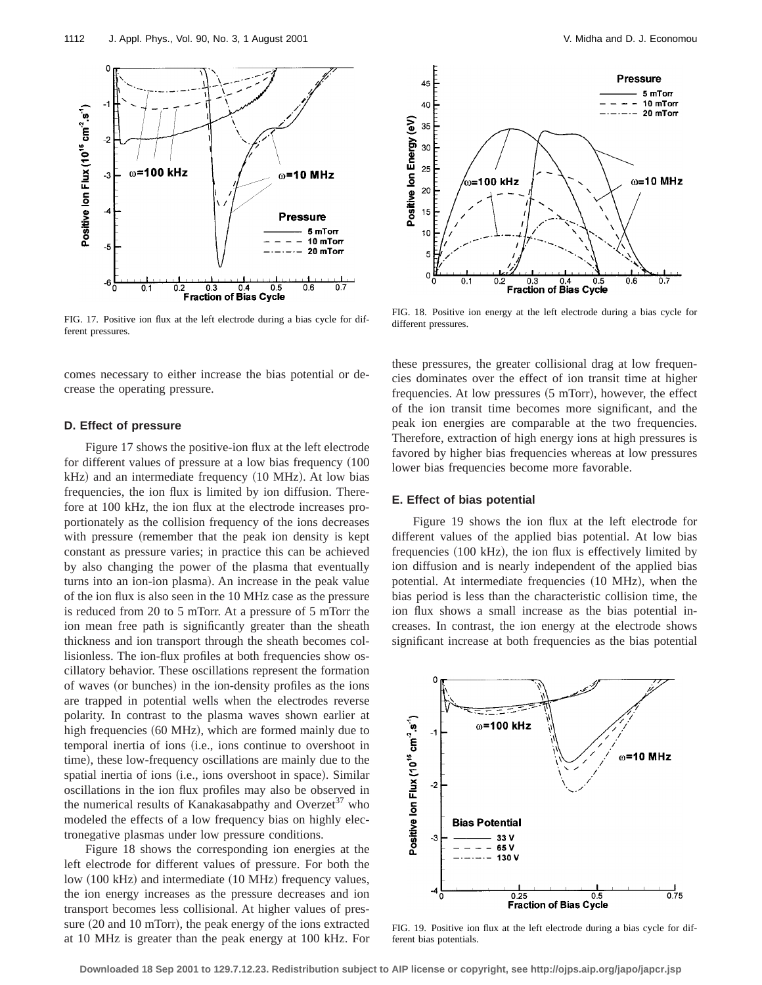

FIG. 17. Positive ion flux at the left electrode during a bias cycle for different pressures.

comes necessary to either increase the bias potential or decrease the operating pressure.

### **D. Effect of pressure**

Figure 17 shows the positive-ion flux at the left electrode for different values of pressure at a low bias frequency  $(100$  $kHz$ ) and an intermediate frequency  $(10 \text{ MHz})$ . At low bias frequencies, the ion flux is limited by ion diffusion. Therefore at 100 kHz, the ion flux at the electrode increases proportionately as the collision frequency of the ions decreases with pressure (remember that the peak ion density is kept constant as pressure varies; in practice this can be achieved by also changing the power of the plasma that eventually turns into an ion-ion plasma). An increase in the peak value of the ion flux is also seen in the 10 MHz case as the pressure is reduced from 20 to 5 mTorr. At a pressure of 5 mTorr the ion mean free path is significantly greater than the sheath thickness and ion transport through the sheath becomes collisionless. The ion-flux profiles at both frequencies show oscillatory behavior. These oscillations represent the formation of waves (or bunches) in the ion-density profiles as the ions are trapped in potential wells when the electrodes reverse polarity. In contrast to the plasma waves shown earlier at high frequencies (60 MHz), which are formed mainly due to temporal inertia of ions (i.e., ions continue to overshoot in time), these low-frequency oscillations are mainly due to the spatial inertia of ions (i.e., ions overshoot in space). Similar oscillations in the ion flux profiles may also be observed in the numerical results of Kanakasabpathy and Overzet<sup>37</sup> who modeled the effects of a low frequency bias on highly electronegative plasmas under low pressure conditions.

Figure 18 shows the corresponding ion energies at the left electrode for different values of pressure. For both the low (100 kHz) and intermediate (10 MHz) frequency values, the ion energy increases as the pressure decreases and ion transport becomes less collisional. At higher values of pressure  $(20$  and  $10$  mTorr), the peak energy of the ions extracted at 10 MHz is greater than the peak energy at 100 kHz. For



FIG. 18. Positive ion energy at the left electrode during a bias cycle for different pressures.

these pressures, the greater collisional drag at low frequencies dominates over the effect of ion transit time at higher frequencies. At low pressures  $(5 \text{ mTorr})$ , however, the effect of the ion transit time becomes more significant, and the peak ion energies are comparable at the two frequencies. Therefore, extraction of high energy ions at high pressures is favored by higher bias frequencies whereas at low pressures lower bias frequencies become more favorable.

### **E. Effect of bias potential**

Figure 19 shows the ion flux at the left electrode for different values of the applied bias potential. At low bias frequencies  $(100 \text{ kHz})$ , the ion flux is effectively limited by ion diffusion and is nearly independent of the applied bias potential. At intermediate frequencies (10 MHz), when the bias period is less than the characteristic collision time, the ion flux shows a small increase as the bias potential increases. In contrast, the ion energy at the electrode shows significant increase at both frequencies as the bias potential



FIG. 19. Positive ion flux at the left electrode during a bias cycle for different bias potentials.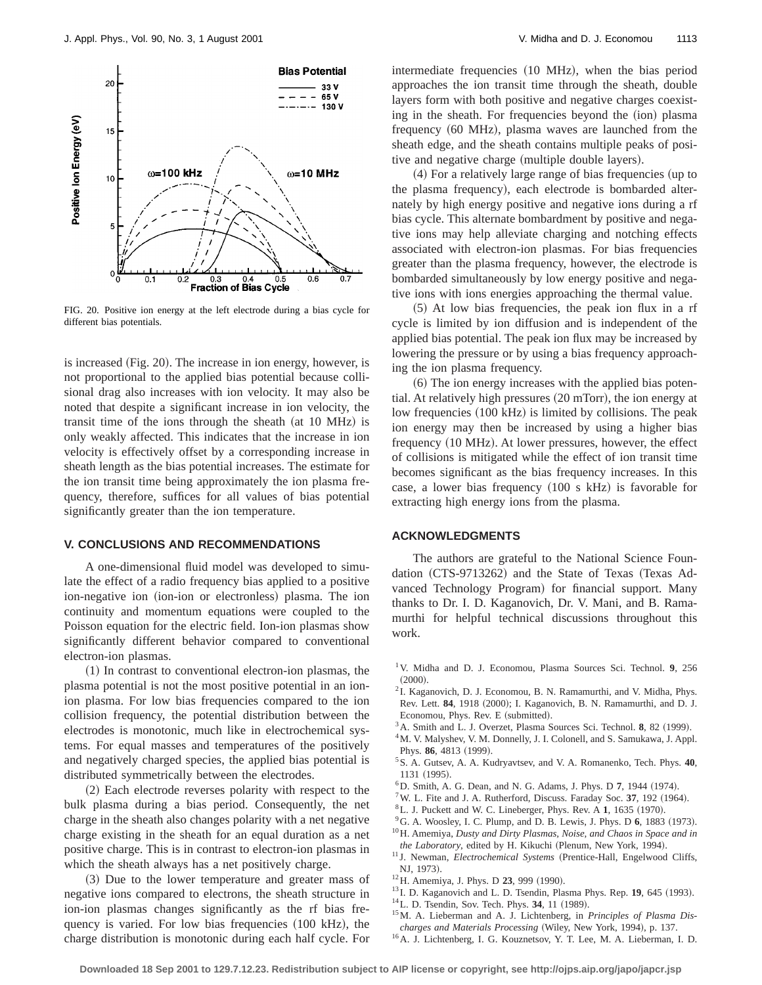

FIG. 20. Positive ion energy at the left electrode during a bias cycle for different bias potentials.

is increased (Fig. 20). The increase in ion energy, however, is not proportional to the applied bias potential because collisional drag also increases with ion velocity. It may also be noted that despite a significant increase in ion velocity, the transit time of the ions through the sheath  $(at 10 MHz)$  is only weakly affected. This indicates that the increase in ion velocity is effectively offset by a corresponding increase in sheath length as the bias potential increases. The estimate for the ion transit time being approximately the ion plasma frequency, therefore, suffices for all values of bias potential significantly greater than the ion temperature.

### **V. CONCLUSIONS AND RECOMMENDATIONS**

A one-dimensional fluid model was developed to simulate the effect of a radio frequency bias applied to a positive ion-negative ion (ion-ion or electronless) plasma. The ion continuity and momentum equations were coupled to the Poisson equation for the electric field. Ion-ion plasmas show significantly different behavior compared to conventional electron-ion plasmas.

 $(1)$  In contrast to conventional electron-ion plasmas, the plasma potential is not the most positive potential in an ionion plasma. For low bias frequencies compared to the ion collision frequency, the potential distribution between the electrodes is monotonic, much like in electrochemical systems. For equal masses and temperatures of the positively and negatively charged species, the applied bias potential is distributed symmetrically between the electrodes.

(2) Each electrode reverses polarity with respect to the bulk plasma during a bias period. Consequently, the net charge in the sheath also changes polarity with a net negative charge existing in the sheath for an equal duration as a net positive charge. This is in contrast to electron-ion plasmas in which the sheath always has a net positively charge.

~3! Due to the lower temperature and greater mass of negative ions compared to electrons, the sheath structure in ion-ion plasmas changes significantly as the rf bias frequency is varied. For low bias frequencies  $(100 \text{ kHz})$ , the charge distribution is monotonic during each half cycle. For intermediate frequencies (10 MHz), when the bias period approaches the ion transit time through the sheath, double layers form with both positive and negative charges coexisting in the sheath. For frequencies beyond the (ion) plasma frequency (60 MHz), plasma waves are launched from the sheath edge, and the sheath contains multiple peaks of positive and negative charge (multiple double layers).

 $(4)$  For a relatively large range of bias frequencies (up to the plasma frequency), each electrode is bombarded alternately by high energy positive and negative ions during a rf bias cycle. This alternate bombardment by positive and negative ions may help alleviate charging and notching effects associated with electron-ion plasmas. For bias frequencies greater than the plasma frequency, however, the electrode is bombarded simultaneously by low energy positive and negative ions with ions energies approaching the thermal value.

 $(5)$  At low bias frequencies, the peak ion flux in a rf cycle is limited by ion diffusion and is independent of the applied bias potential. The peak ion flux may be increased by lowering the pressure or by using a bias frequency approaching the ion plasma frequency.

 $(6)$  The ion energy increases with the applied bias potential. At relatively high pressures  $(20$  mTorr), the ion energy at low frequencies (100 kHz) is limited by collisions. The peak ion energy may then be increased by using a higher bias frequency (10 MHz). At lower pressures, however, the effect of collisions is mitigated while the effect of ion transit time becomes significant as the bias frequency increases. In this case, a lower bias frequency  $(100 \text{ s kHz})$  is favorable for extracting high energy ions from the plasma.

### **ACKNOWLEDGMENTS**

The authors are grateful to the National Science Foundation (CTS-9713262) and the State of Texas (Texas Advanced Technology Program) for financial support. Many thanks to Dr. I. D. Kaganovich, Dr. V. Mani, and B. Ramamurthi for helpful technical discussions throughout this work.

- 1V. Midha and D. J. Economou, Plasma Sources Sci. Technol. **9**, 256  $(2000).$
- <sup>2</sup> I. Kaganovich, D. J. Economou, B. N. Ramamurthi, and V. Midha, Phys. Rev. Lett. 84, 1918 (2000); I. Kaganovich, B. N. Ramamurthi, and D. J. Economou, Phys. Rev. E (submitted).
- <sup>3</sup> A. Smith and L. J. Overzet, Plasma Sources Sci. Technol. 8, 82 (1999).
- <sup>4</sup>M. V. Malyshev, V. M. Donnelly, J. I. Colonell, and S. Samukawa, J. Appl. Phys. 86, 4813 (1999).
- 5S. A. Gutsev, A. A. Kudryavtsev, and V. A. Romanenko, Tech. Phys. **40**, 1131 (1995).
- <sup>6</sup>D. Smith, A. G. Dean, and N. G. Adams, J. Phys. D 7, 1944 (1974).
- <sup>7</sup> W. L. Fite and J. A. Rutherford, Discuss. Faraday Soc. 37, 192 (1964).
- ${}^8$ L. J. Puckett and W. C. Lineberger, Phys. Rev. A 1, 1635 (1970).
- $^{9}$ G. A. Woosley, I. C. Plump, and D. B. Lewis, J. Phys. D 6, 1883 (1973).
- 10H. Amemiya, *Dusty and Dirty Plasmas, Noise, and Chaos in Space and in the Laboratory*, edited by H. Kikuchi (Plenum, New York, 1994).
- <sup>11</sup> J. Newman, *Electrochemical Systems* (Prentice-Hall, Engelwood Cliffs, NJ, 1973).
- <sup>12</sup>H. Amemiya, J. Phys. D **23**, 999 (1990).
- <sup>13</sup> I. D. Kaganovich and L. D. Tsendin, Plasma Phys. Rep. **19**, 645 (1993).
- <sup>14</sup>L. D. Tsendin, Sov. Tech. Phys. **34**, 11 (1989).
- 15M. A. Lieberman and A. J. Lichtenberg, in *Principles of Plasma Discharges and Materials Processing* (Wiley, New York, 1994), p. 137.
- <sup>16</sup>A. J. Lichtenberg, I. G. Kouznetsov, Y. T. Lee, M. A. Lieberman, I. D.